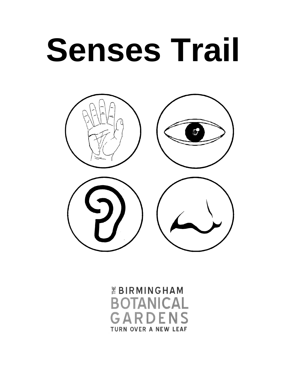



*EBIRMINGHAM* **BOTANICAL** GARDENS **TURN OVER A NEW LEAF**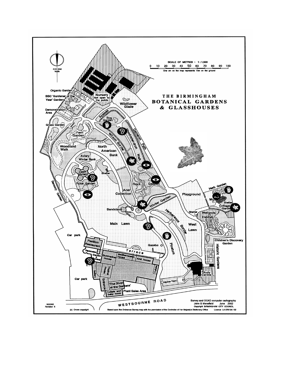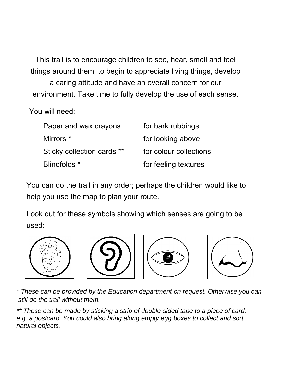This trail is to encourage children to see, hear, smell and feel things around them, to begin to appreciate living things, develop

a caring attitude and have an overall concern for our environment. Take time to fully develop the use of each sense.

You will need:

| Paper and wax crayons      | for bark rubbings      |
|----------------------------|------------------------|
| Mirrors *                  | for looking above      |
| Sticky collection cards ** | for colour collections |
| Blindfolds *               | for feeling textures   |

You can do the trail in any order; perhaps the children would like to help you use the map to plan your route.

Look out for these symbols showing which senses are going to be used:









*\* These can be provided by the Education department on request. Otherwise you can still do the trail without them.* 

*\*\* These can be made by sticking a strip of double-sided tape to a piece of card, e.g. a postcard. You could also bring along empty egg boxes to collect and sort natural objects.*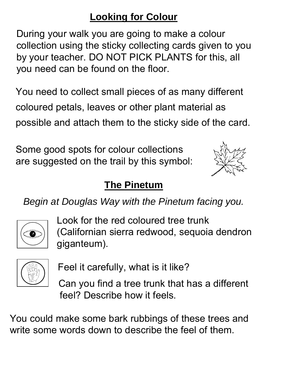### **Looking for Colour**

During your walk you are going to make a colour collection using the sticky collecting cards given to you by your teacher. DO NOT PICK PLANTS for this, all you need can be found on the floor.

You need to collect small pieces of as many different coloured petals, leaves or other plant material as possible and attach them to the sticky side of the card.

Some good spots for colour collections are suggested on the trail by this symbol:



## **The Pinetum**

*Begin at Douglas Way with the Pinetum facing you.* 



 Look for the red coloured tree trunk soll (Californian sierra redwood, sequoia dendron giganteum).



Feel it carefully, what is it like?

Can you find a tree trunk that has a different feel? Describe how it feels.

You could make some bark rubbings of these trees and write some words down to describe the feel of them.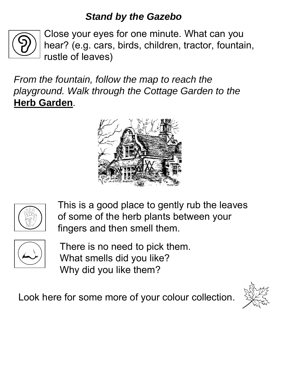#### *Stand by the Gazebo*



Close your eyes for one minute. What can you hear? (e.g. cars, birds, children, tractor, fountain, rustle of leaves)

*From the fountain, follow the map to reach the playground. Walk through the Cottage Garden to the* **Herb Garden**.





This is a good place to gently rub the leaves of some of the herb plants between your fingers and then smell them.



There is no need to pick them. What smells did you like? Why did you like them?

Look here for some more of your colour collection.

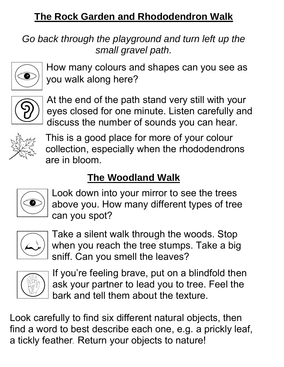### **The Rock Garden and Rhododendron Walk**

*Go back through the playground and turn left up the small gravel path.* 



How many colours and shapes can you see as you walk along here?



At the end of the path stand very still with your eyes closed for one minute. Listen carefully and discuss the number of sounds you can hear.



This is a good place for more of your colour collection, especially when the rhododendrons are in bloom.

# **The Woodland Walk**



Look down into your mirror to see the trees above you. How many different types of tree can you spot?



Take a silent walk through the woods. Stop when you reach the tree stumps. Take a big sniff. Can you smell the leaves?



If you're feeling brave, put on a blindfold then ask your partner to lead you to tree. Feel the bark and tell them about the texture.

Look carefully to find six different natural objects, then find a word to best describe each one, e.g. a prickly leaf, a tickly feather**.** Return your objects to nature!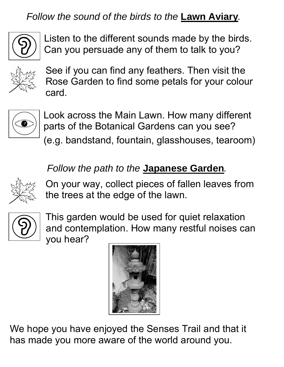*Follow the sound of the birds to the* **Lawn Aviary***.* 



Listen to the different sounds made by the birds. Can you persuade any of them to talk to you?



See if you can find any feathers. Then visit the Rose Garden to find some petals for your colour card.



Look across the Main Lawn. How many different parts of the Botanical Gardens can you see? (e.g. bandstand, fountain, glasshouses, tearoom)

#### *Follow the path to the* **Japanese Garden***.*



On your way, collect pieces of fallen leaves from the trees at the edge of the lawn.



This garden would be used for quiet relaxation and contemplation. How many restful noises can you hear?



We hope you have enjoyed the Senses Trail and that it has made you more aware of the world around you.